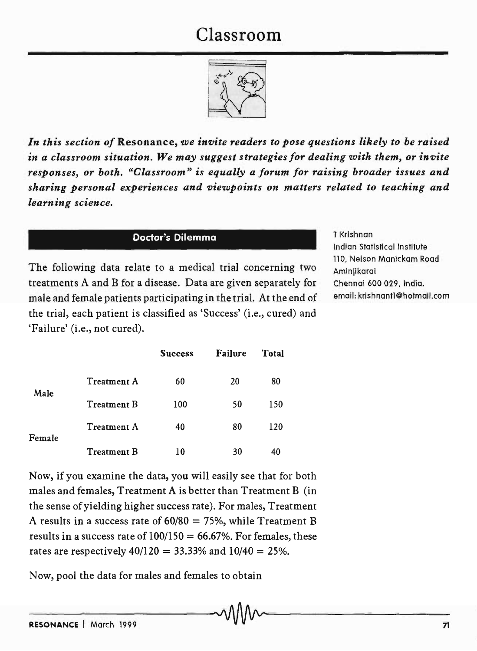## Classroom



*In this section of* Resonance, *we invite readers to pose questions likely to be raised in a classroom situation. We may suggest strategies for dealing with them, or invite responses, or both. "Classroom" is equally a forum for raising broader issues and sharing personal experiences and viewpoints on matters related to teaching and learning science.* 

## Dodor's Dilemma

The following data relate to a medical trial concerning two treatments A and B for a disease. Data are given separately for male and female patients participating in the trial. At the end of the trial, each patient is classified as 'Success' (i.e., cured) and 'Failure' (i.e., not cured).

T Krishnan Indian Statistical Institute 110, Nelson Manickam Road Aminiikarai Chennai 600 029, India. email: krishnantl@hotmail.com

|        |                    | <b>Success</b> | <b>Failure</b> | <b>Total</b> |
|--------|--------------------|----------------|----------------|--------------|
| Male   | <b>Treatment A</b> | 60             | 20             | 80           |
|        | <b>Treatment B</b> | 100            | 50             | 150          |
| Female | Treatment A        | 40             | 80             | 120          |
|        | <b>Treatment B</b> | 10             | 30             | 40           |

Now, if you examine the data, you will easily see that for both males and females, Treatment A is better than Treatment B (in the sense of yielding higher success rate). For males, Treatment A results in a success rate of  $60/80 = 75%$ , while Treatment B results in a success rate of  $100/150 = 66.67\%$ . For females, these rates are respectively  $40/120 = 33.33\%$  and  $10/40 = 25\%$ .

Now, pool the data for males and females to obtain  $\sim$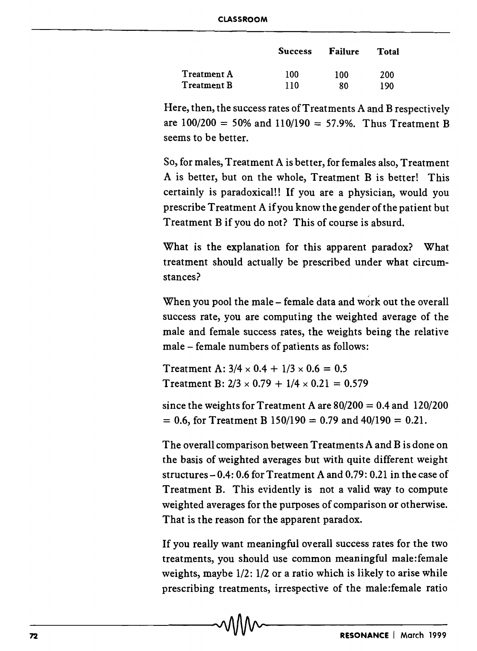|                    | <b>Success</b> | Failure | Total |
|--------------------|----------------|---------|-------|
| <b>Treatment A</b> | 100            | 100     | 200   |
| <b>Treatment B</b> | 110            | 80      | 190   |

Here, then, the success rates of Treatments A and B respectively are  $100/200 = 50\%$  and  $110/190 = 57.9\%$ . Thus Treatment B seems to be better.

So, for males, Treatment A is better, for females also, Treatment A is better, but on the whole, Treatment B is better! This certainly is paradoxical!! If you are a physician, would you prescribe Treatment A if you know the gender of the patient but Treatment B if you do not? This of course is absurd.

What is the explanation for this apparent paradox? What treatment should actually be prescribed under what circumstances?

When you pool the male – female data and work out the overall success rate, you are computing the weighted average of the male and female success rates, the weights being the relative male - female numbers of patients as follows:

Treatment A:  $3/4 \times 0.4 + 1/3 \times 0.6 = 0.5$ Treatment B:  $2/3 \times 0.79 + 1/4 \times 0.21 = 0.579$ 

since the weights for Treatment A are  $80/200 = 0.4$  and  $120/200$  $= 0.6$ , for Treatment B 150/190  $= 0.79$  and 40/190  $= 0.21$ .

The overall comparison between Treatments A and B is done on the basis of weighted averages but with quite different weight structures  $-0.4:0.6$  for Treatment A and 0.79: 0.21 in the case of Treatment B. This evidently is not a valid way to compute weighted averages for the purposes of comparison or otherwise. That is the reason for the apparent paradox.

If you really want meaningful overall success rates for the two treatments, you should use common meaningful male:female weights, maybe 1/2: 1/2 or a ratio which is likely to arise while prescribing treatments, irrespective of the male:female ratio